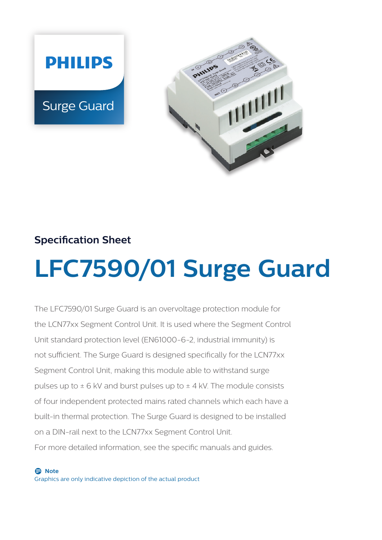



### **Specification Sheet**

# **LFC7590/01 Surge Guard**

The LFC7590/01 Surge Guard is an overvoltage protection module for the LCN77xx Segment Control Unit. It is used where the Segment Control Unit standard protection level (EN61000-6-2, industrial immunity) is not sufficient. The Surge Guard is designed specifically for the LCN77xx Segment Control Unit, making this module able to withstand surge pulses up to  $\pm$  6 kV and burst pulses up to  $\pm$  4 kV. The module consists of four independent protected mains rated channels which each have a built-in thermal protection. The Surge Guard is designed to be installed on a DIN-rail next to the LCN77xx Segment Control Unit. For more detailed information, see the specific manuals and guides.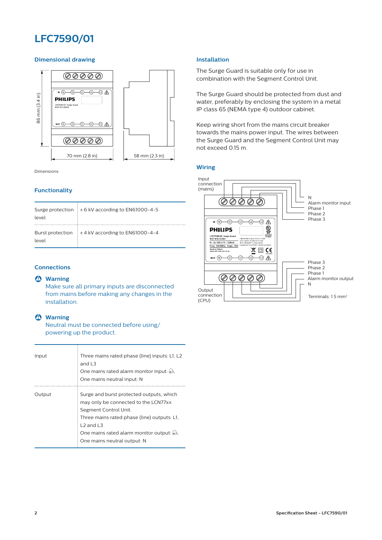### **LFC7590/01**

### **Dimensional drawing**



Dimensions

### **Functionality**

| Surge protection<br>level | $\pm$ 6 kV according to EN61000-4-5 |
|---------------------------|-------------------------------------|
| Burst protection<br>level | $±$ 4 kV according to EN61000-4-4   |

### **Connections**

### B **Warning**

Make sure all primary inputs are disconnected from mains before making any changes in the installation.

### B **Warning**

Neutral must be connected before using/ powering up the product.

| Input  | Three mains rated phase (line) inputs: L1, L2<br>and $L3$<br>One mains rated alarm monitor input: $\triangle$ .<br>One mains neutral input: N                                                                                                                   |
|--------|-----------------------------------------------------------------------------------------------------------------------------------------------------------------------------------------------------------------------------------------------------------------|
| Output | Surge and burst protected outputs, which<br>may only be connected to the LCN77xx<br>Segment Control Unit.<br>Three mains rated phase (line) outputs: L1,<br>$L2$ and $L3$<br>One mains rated alarm monitor output: $\triangle$ .<br>One mains neutral output: N |

### **Installation**

The Surge Guard is suitable only for use in combination with the Segment Control Unit.

The Surge Guard should be protected from dust and water, preferably by enclosing the system in a metal IP class 65 (NEMA type 4) outdoor cabinet.

Keep wiring short from the mains circuit breaker towards the mains power input. The wires between the Surge Guard and the Segment Control Unit may not exceed 0.15 m.

**Wiring**

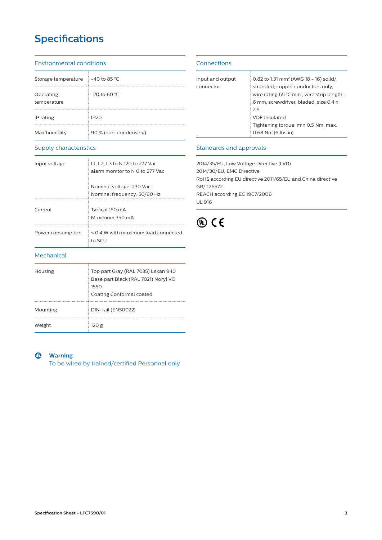## **Specifications**

#### Environmental conditions

| Storage temperature      | $=$ -40 to 85 °C      |
|--------------------------|-----------------------|
| Operating<br>temperature | $-20$ to 60 °C        |
| IP rating                | IP20                  |
| Max humidity             | 90 % (non-condensing) |

### Supply characteristics

| Input voltage     | L1, L2, L3 to N 120 to 277 Vac<br>alarm monitor to N 0 to 277 Vac |  |  |
|-------------------|-------------------------------------------------------------------|--|--|
|                   | Nominal voltage: 230 Vac<br>Nominal frequency: 50/60 Hz           |  |  |
| Current           | Typical 150 mA.<br>Maximum 350 mA                                 |  |  |
| Power consumption | < 0.4 W with maximum load connected<br>to SCU                     |  |  |
| Mechanical        |                                                                   |  |  |
| Housing           | Top part Gray (RAL 7035) Lexan 940                                |  |  |

1550

Mounting DIN-rail (EN50022)

### **Connections**

| Input and output | 0.82 to 1.31 mm <sup>2</sup> (AWG 18 - 16) solid/   |  |  |
|------------------|-----------------------------------------------------|--|--|
| connector        | stranded; copper conductors only,                   |  |  |
|                  | wire rating $65^{\circ}$ C min.; wire strip length: |  |  |
|                  | 6 mm, screwdriver, bladed, size 0.4 x               |  |  |
|                  | 25                                                  |  |  |
|                  | VDE insulated                                       |  |  |
|                  | Tightening torque: min 0.5 Nm, max.                 |  |  |
|                  | 0.68 Nm (6 lbs in)                                  |  |  |
|                  |                                                     |  |  |

### Standards and approvals

2014/35/EU, Low Voltage Directive (LVD) 2014/30/EU, EMC Directive RoHS according EU directive 2011/65/EU and China directive GB/T26572 REACH according EC 1907/2006 UL 916



B **Warning**

Weight 120 g

To be wired by trained/certified Personnel only

Base part Black (RAL 7021) Noryl VO

Coating Conformal coated